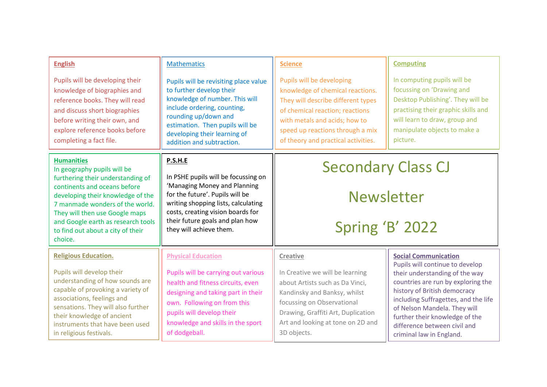| <b>English</b>                                                                                                                                                                                                                                                    | <b>Mathematics</b>                                                                                                                                                                                                                                                 | <b>Science</b>                                                                                                                                                                                                                                     | <b>Computing</b>                                                                                                                                                                                                                                                           |
|-------------------------------------------------------------------------------------------------------------------------------------------------------------------------------------------------------------------------------------------------------------------|--------------------------------------------------------------------------------------------------------------------------------------------------------------------------------------------------------------------------------------------------------------------|----------------------------------------------------------------------------------------------------------------------------------------------------------------------------------------------------------------------------------------------------|----------------------------------------------------------------------------------------------------------------------------------------------------------------------------------------------------------------------------------------------------------------------------|
| Pupils will be developing their<br>knowledge of biographies and<br>reference books. They will read<br>and discuss short biographies<br>before writing their own, and<br>explore reference books before<br>completing a fact file.                                 | Pupils will be revisiting place value<br>to further develop their<br>knowledge of number. This will<br>include ordering, counting,<br>rounding up/down and<br>estimation. Then pupils will be<br>developing their learning of<br>addition and subtraction.         | Pupils will be developing<br>knowledge of chemical reactions.<br>They will describe different types<br>of chemical reaction; reactions<br>with metals and acids; how to<br>speed up reactions through a mix<br>of theory and practical activities. | In computing pupils will be<br>focussing on 'Drawing and<br>Desktop Publishing'. They will be<br>practising their graphic skills and<br>will learn to draw, group and<br>manipulate objects to make a<br>picture.                                                          |
| <b>Humanities</b><br>In geography pupils will be<br>furthering their understanding of                                                                                                                                                                             | <b>P.S.H.E</b><br>In PSHE pupils will be focussing on<br>'Managing Money and Planning<br>for the future'. Pupils will be<br>writing shopping lists, calculating<br>costs, creating vision boards for<br>their future goals and plan how<br>they will achieve them. | <b>Secondary Class CJ</b>                                                                                                                                                                                                                          |                                                                                                                                                                                                                                                                            |
| continents and oceans before<br>developing their knowledge of the<br>7 manmade wonders of the world.<br>They will then use Google maps<br>and Google earth as research tools<br>to find out about a city of their<br>choice.                                      |                                                                                                                                                                                                                                                                    | <b>Newsletter</b>                                                                                                                                                                                                                                  |                                                                                                                                                                                                                                                                            |
|                                                                                                                                                                                                                                                                   |                                                                                                                                                                                                                                                                    | Spring 'B' 2022                                                                                                                                                                                                                                    |                                                                                                                                                                                                                                                                            |
| <b>Religious Education.</b>                                                                                                                                                                                                                                       | <b>Physical Education</b>                                                                                                                                                                                                                                          | <b>Creative</b>                                                                                                                                                                                                                                    | <b>Social Communication</b><br>Pupils will continue to develop                                                                                                                                                                                                             |
| Pupils will develop their<br>understanding of how sounds are<br>capable of provoking a variety of<br>associations, feelings and<br>sensations. They will also further<br>their knowledge of ancient<br>instruments that have been used<br>in religious festivals. | Pupils will be carrying out various<br>health and fitness circuits, even<br>designing and taking part in their<br>own. Following on from this<br>pupils will develop their<br>knowledge and skills in the sport<br>of dodgeball.                                   | In Creative we will be learning<br>about Artists such as Da Vinci,<br>Kandinsky and Banksy, whilst<br>focussing on Observational<br>Drawing, Graffiti Art, Duplication<br>Art and looking at tone on 2D and<br>3D objects.                         | their understanding of the way<br>countries are run by exploring the<br>history of British democracy<br>including Suffragettes, and the life<br>of Nelson Mandela. They will<br>further their knowledge of the<br>difference between civil and<br>criminal law in England. |